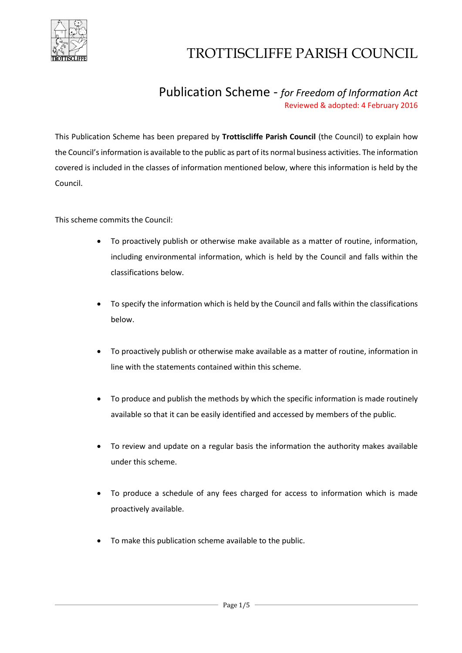

### Publication Scheme - *for Freedom of Information Act* Reviewed & adopted: 4 February 2016

This Publication Scheme has been prepared by **Trottiscliffe Parish Council** (the Council) to explain how the Council's information is available to the public as part of its normal business activities. The information covered is included in the classes of information mentioned below, where this information is held by the Council.

This scheme commits the Council:

- To proactively publish or otherwise make available as a matter of routine, information, including environmental information, which is held by the Council and falls within the classifications below.
- To specify the information which is held by the Council and falls within the classifications below.
- To proactively publish or otherwise make available as a matter of routine, information in line with the statements contained within this scheme.
- To produce and publish the methods by which the specific information is made routinely available so that it can be easily identified and accessed by members of the public.
- To review and update on a regular basis the information the authority makes available under this scheme.
- To produce a schedule of any fees charged for access to information which is made proactively available.
- To make this publication scheme available to the public.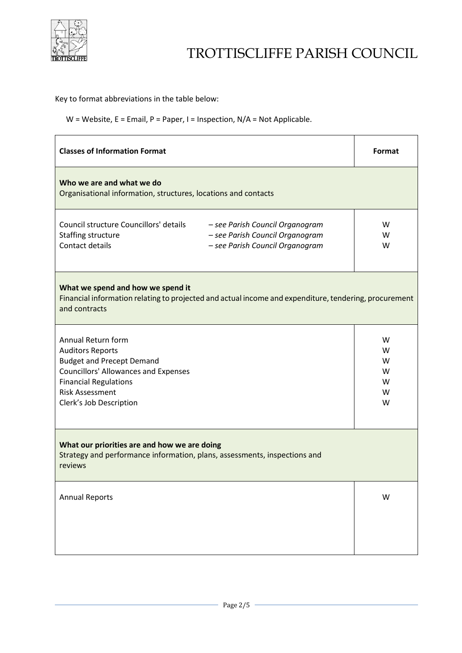

Key to format abbreviations in the table below:

W = Website, E = Email, P = Paper, I = Inspection, N/A = Not Applicable.

| <b>Classes of Information Format</b>                                                                                                                                                                                  | Format                          |  |
|-----------------------------------------------------------------------------------------------------------------------------------------------------------------------------------------------------------------------|---------------------------------|--|
| Who we are and what we do<br>Organisational information, structures, locations and contacts                                                                                                                           |                                 |  |
| Council structure Councillors' details<br>- see Parish Council Organogram<br>Staffing structure<br>- see Parish Council Organogram<br>Contact details<br>- see Parish Council Organogram                              | W<br>W<br>W                     |  |
| What we spend and how we spend it<br>Financial information relating to projected and actual income and expenditure, tendering, procurement<br>and contracts                                                           |                                 |  |
| Annual Return form<br><b>Auditors Reports</b><br><b>Budget and Precept Demand</b><br><b>Councillors' Allowances and Expenses</b><br><b>Financial Regulations</b><br><b>Risk Assessment</b><br>Clerk's Job Description | W<br>W<br>w<br>W<br>w<br>w<br>W |  |
| What our priorities are and how we are doing<br>Strategy and performance information, plans, assessments, inspections and<br>reviews                                                                                  |                                 |  |
| <b>Annual Reports</b>                                                                                                                                                                                                 | W                               |  |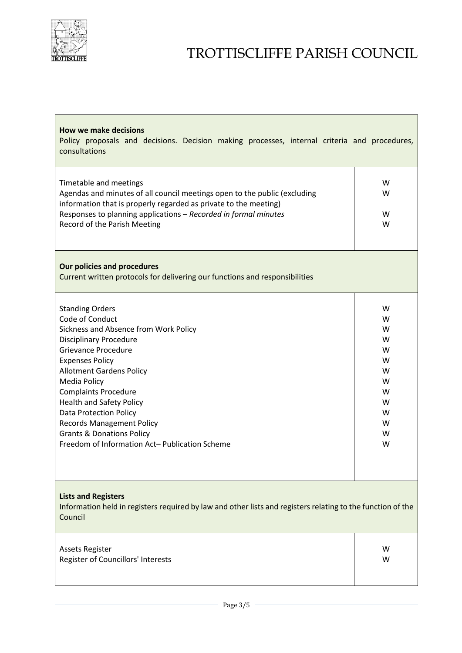

| <b>How we make decisions</b><br>Policy proposals and decisions. Decision making processes, internal criteria and procedures,<br>consultations                                                                                                                                                                                                                                                                                                           |                                                                    |  |
|---------------------------------------------------------------------------------------------------------------------------------------------------------------------------------------------------------------------------------------------------------------------------------------------------------------------------------------------------------------------------------------------------------------------------------------------------------|--------------------------------------------------------------------|--|
| Timetable and meetings<br>Agendas and minutes of all council meetings open to the public (excluding<br>information that is properly regarded as private to the meeting)<br>Responses to planning applications - Recorded in formal minutes<br>Record of the Parish Meeting                                                                                                                                                                              | W<br>W<br>W<br>W                                                   |  |
| <b>Our policies and procedures</b><br>Current written protocols for delivering our functions and responsibilities                                                                                                                                                                                                                                                                                                                                       |                                                                    |  |
| <b>Standing Orders</b><br>Code of Conduct<br>Sickness and Absence from Work Policy<br><b>Disciplinary Procedure</b><br><b>Grievance Procedure</b><br><b>Expenses Policy</b><br><b>Allotment Gardens Policy</b><br>Media Policy<br><b>Complaints Procedure</b><br><b>Health and Safety Policy</b><br>Data Protection Policy<br><b>Records Management Policy</b><br><b>Grants &amp; Donations Policy</b><br>Freedom of Information Act-Publication Scheme | W<br>W<br>W<br>W<br>W<br>W<br>W<br>W<br>W<br>W<br>W<br>W<br>W<br>W |  |
| <b>Lists and Registers</b><br>Information held in registers required by law and other lists and registers relating to the function of the<br>Council                                                                                                                                                                                                                                                                                                    |                                                                    |  |
| <b>Assets Register</b><br>Register of Councillors' Interests                                                                                                                                                                                                                                                                                                                                                                                            | W<br>W                                                             |  |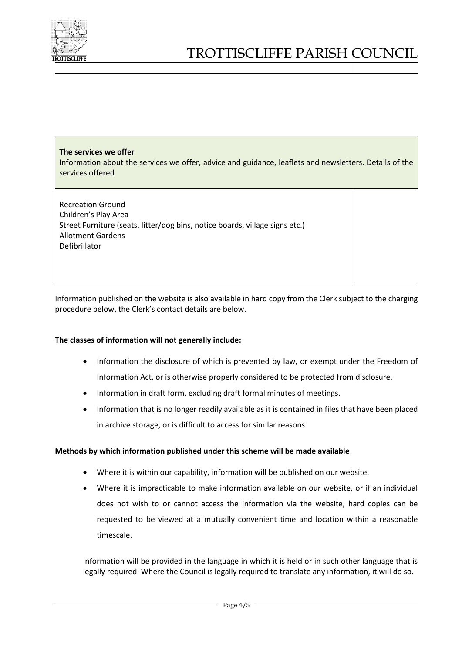

#### **The services we offer**

Information about the services we offer, advice and guidance, leaflets and newsletters. Details of the services offered

Recreation Ground Children's Play Area Street Furniture (seats, litter/dog bins, notice boards, village signs etc.) Allotment Gardens Defibrillator

Information published on the website is also available in hard copy from the Clerk subject to the charging procedure below, the Clerk's contact details are below.

#### **The classes of information will not generally include:**

- Information the disclosure of which is prevented by law, or exempt under the Freedom of Information Act, or is otherwise properly considered to be protected from disclosure.
- Information in draft form, excluding draft formal minutes of meetings.
- Information that is no longer readily available as it is contained in files that have been placed in archive storage, or is difficult to access for similar reasons.

#### **Methods by which information published under this scheme will be made available**

- Where it is within our capability, information will be published on our website.
- Where it is impracticable to make information available on our website, or if an individual does not wish to or cannot access the information via the website, hard copies can be requested to be viewed at a mutually convenient time and location within a reasonable timescale.

Information will be provided in the language in which it is held or in such other language that is legally required. Where the Council is legally required to translate any information, it will do so.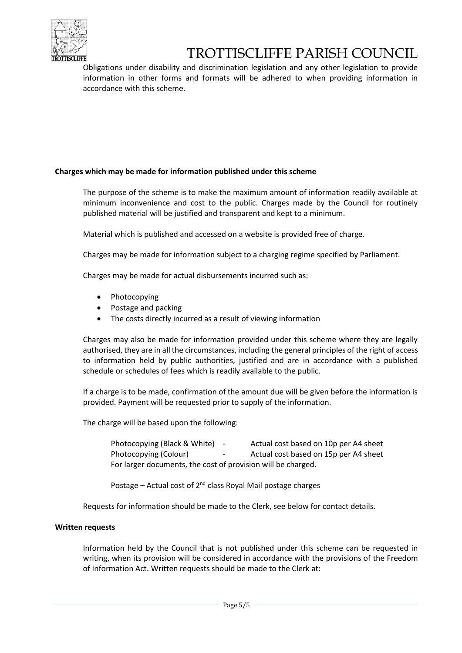

Obligations under disability and discrimination legislation and any other legislation to provide information in other forms and formats will be adhered to when providing information in accordance with this scheme.

#### **Charges which may be made for information published under this scheme**

The purpose of the scheme is to make the maximum amount of information readily available at minimum inconvenience and cost to the public. Charges made by the Council for routinely published material will be justified and transparent and kept to a minimum.

Material which is published and accessed on a website is provided free of charge.

Charges may be made for information subject to a charging regime specified by Parliament.

Charges may be made for actual disbursements incurred such as:

- Photocopying
- Postage and packing
- The costs directly incurred as a result of viewing information

Charges may also be made for information provided under this scheme where they are legally authorised, they are in all the circumstances, including the general principles of the right of access to information held by public authorities, justified and are in accordance with a published schedule or schedules of fees which is readily available to the public.

If a charge is to be made, confirmation of the amount due will be given before the information is provided. Payment will be requested prior to supply of the information.

The charge will be based upon the following:

Photocopying (Black & White) - Actual cost based on 10p per A4 sheet Photocopying (Colour) - Actual cost based on 15p per A4 sheet For larger documents, the cost of provision will be charged.

Postage – Actual cost of  $2^{nd}$  class Royal Mail postage charges

Requests for information should be made to the Clerk, see below for contact details.

#### **Written requests**

Information held by the Council that is not published under this scheme can be requested in writing, when its provision will be considered in accordance with the provisions of the Freedom of Information Act. Written requests should be made to the Clerk at: